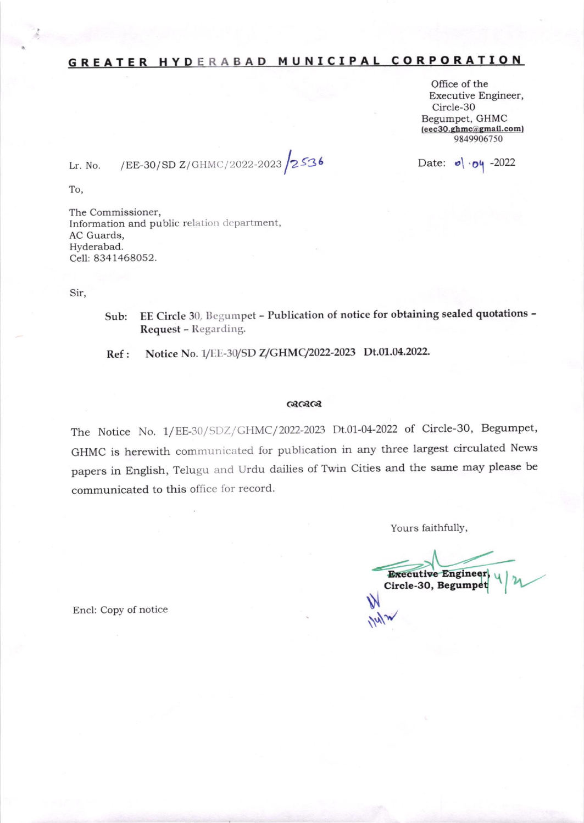# GREATER HYDERABAD MUNICIPAL CORPORATION

Office of the Executive Engineer, Circle-30 Begumpet, GHMC (eec30.ghmc@gmail.com) 9849906750

Date:  $\bullet$   $\cdot$   $\bullet$   $\cdot$  -2022

/EE-30/SD Z/GHMC/2022-2023 2536 Lr. No.

To,

The Commissioner, Information and public relation department, AC Guards, Hyderabad. Cell: 8341468052.

Sir,

EE Circle 30, Begumpet - Publication of notice for obtaining sealed quotations -Sub: Request - Regarding.

Notice No. 1/EE-30/SD Z/GHMC/2022-2023 Dt.01.04.2022.  $Ref:$ 

### ೧೩೦೩೦೩

The Notice No. 1/EE-30/SDZ/GHMC/2022-2023 Dt.01-04-2022 of Circle-30, Begumpet, GHMC is herewith communicated for publication in any three largest circulated News papers in English, Telugu and Urdu dailies of Twin Cities and the same may please be communicated to this office for record.

Yours faithfully,

**Executive Engineer,** Circle-30, Begumpet

Encl: Copy of notice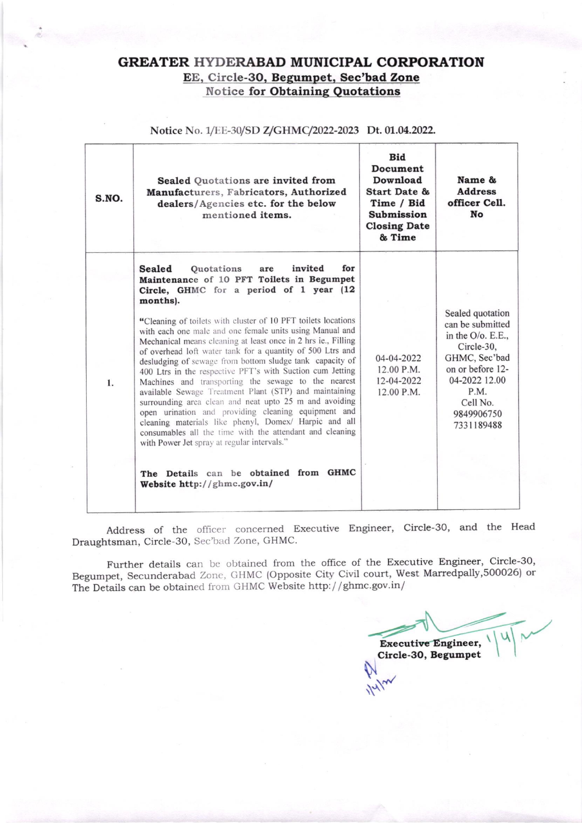## GREATER HYDERABAD MUNICIPAL CORPORATION EE, Circle-30, Begumpet, Sec'bad Zone **Notice for Obtaining Quotations**

| S.NO. | <b>Sealed Quotations are invited from</b><br>Manufacturers, Fabricators, Authorized<br>dealers/Agencies etc. for the below<br>mentioned items.                                                                                                                                                                                                                                                                                                                                                                                                                                                                                                                                                                                                                                                                                                                                                                                                                                                                              | <b>Bid</b><br>Document<br>Download<br>Start Date &<br>Time / Bid<br><b>Submission</b><br><b>Closing Date</b><br>& Time | Name &<br><b>Address</b><br>officer Cell.<br>No                                                                                                                                  |
|-------|-----------------------------------------------------------------------------------------------------------------------------------------------------------------------------------------------------------------------------------------------------------------------------------------------------------------------------------------------------------------------------------------------------------------------------------------------------------------------------------------------------------------------------------------------------------------------------------------------------------------------------------------------------------------------------------------------------------------------------------------------------------------------------------------------------------------------------------------------------------------------------------------------------------------------------------------------------------------------------------------------------------------------------|------------------------------------------------------------------------------------------------------------------------|----------------------------------------------------------------------------------------------------------------------------------------------------------------------------------|
| 1.    | Sealed<br>invited<br>for<br><b>Quotations</b><br>are<br>Maintenance of 10 PFT Toilets in Begumpet<br>Circle, GHMC for a period of 1 year (12<br>months).<br>"Cleaning of toilets with cluster of 10 PFT toilets locations<br>with each one male and one female units using Manual and<br>Mechanical means cleaning at least once in 2 hrs ie., Filling<br>of overhead loft water tank for a quantity of 500 Ltrs and<br>desludging of sewage from bottom sludge tank capacity of<br>400 Ltrs in the respective PFT's with Suction cum Jetting<br>Machines and transporting the sewage to the nearest<br>available Sewage Treatment Plant (STP) and maintaining<br>surrounding area clean and neat upto 25 m and avoiding<br>open urination and providing cleaning equipment and<br>cleaning materials like phenyl, Domex/ Harpic and all<br>consumables all the time with the attendant and cleaning<br>with Power Jet spray at regular intervals."<br>The Details can be obtained from GHMC<br>Website http://ghmc.gov.in/ | $04 - 04 - 2022$<br>12.00 P.M.<br>12-04-2022<br>12.00 P.M.                                                             | Sealed quotation<br>can be submitted<br>in the $O/O$ . E.E.,<br>Circle-30,<br>GHMC, Sec'bad<br>on or before 12-<br>04-2022 12.00<br>P.M.<br>Cell No.<br>9849906750<br>7331189488 |

Notice No. 1/EE-30/SD Z/GHMC/2022-2023 Dt. 01.04.2022.

Address of the officer concerned Executive Engineer, Circle-30, and the Head Draughtsman, Circle-30, Sec'bad Zone, GHMC.

Further details can be obtained from the office of the Executive Engineer, Circle-30, Begumpet, Secunderabad Zone, GHMC (Opposite City Civil court, West Marredpally, 500026) or The Details can be obtained from GHMC Website http://ghmc.gov.in/

**Executive Engineer,** Circle-30, Begumpet